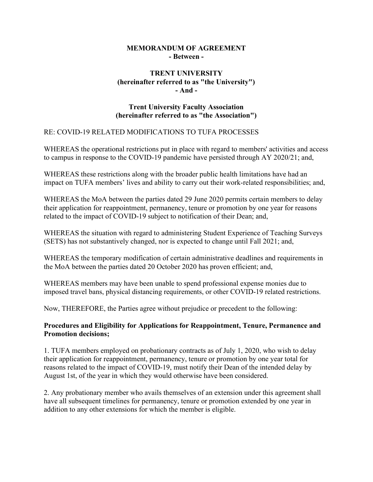#### MEMORANDUM OF AGREEMENT - Between -

# TRENT UNIVERSITY (hereinafter referred to as "the University") - And -

## Trent University Faculty Association (hereinafter referred to as "the Association")

### RE: COVID-19 RELATED MODIFICATIONS TO TUFA PROCESSES

WHEREAS the operational restrictions put in place with regard to members' activities and access to campus in response to the COVID-19 pandemic have persisted through AY 2020/21; and,

WHEREAS these restrictions along with the broader public health limitations have had an impact on TUFA members' lives and ability to carry out their work-related responsibilities; and,

WHEREAS the MoA between the parties dated 29 June 2020 permits certain members to delay their application for reappointment, permanency, tenure or promotion by one year for reasons related to the impact of COVID-19 subject to notification of their Dean; and,

WHEREAS the situation with regard to administering Student Experience of Teaching Surveys (SETS) has not substantively changed, nor is expected to change until Fall 2021; and,

WHEREAS the temporary modification of certain administrative deadlines and requirements in the MoA between the parties dated 20 October 2020 has proven efficient; and,

WHEREAS members may have been unable to spend professional expense monies due to imposed travel bans, physical distancing requirements, or other COVID-19 related restrictions.

Now, THEREFORE, the Parties agree without prejudice or precedent to the following:

### Procedures and Eligibility for Applications for Reappointment, Tenure, Permanence and Promotion decisions;

1. TUFA members employed on probationary contracts as of July 1, 2020, who wish to delay their application for reappointment, permanency, tenure or promotion by one year total for reasons related to the impact of COVID-19, must notify their Dean of the intended delay by August 1st, of the year in which they would otherwise have been considered.

2. Any probationary member who avails themselves of an extension under this agreement shall have all subsequent timelines for permanency, tenure or promotion extended by one year in addition to any other extensions for which the member is eligible.